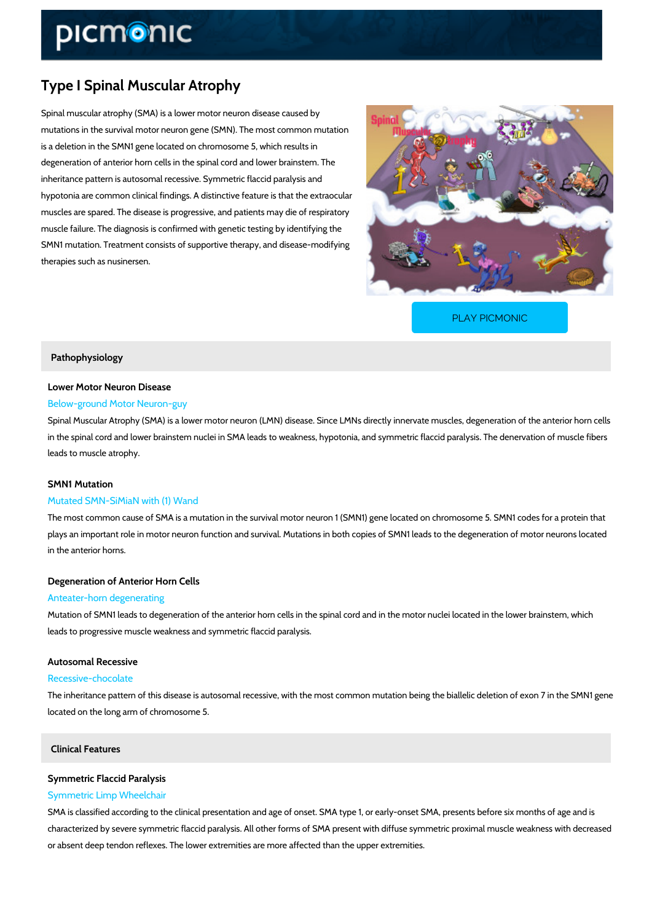# Type I Spinal Muscular Atrophy

Spinal muscular atrophy (SMA) is a lower motor neuron disease caused by mutations in the survival motor neuron gene (SMN). The most common mutation is a deletion in the SMN1 gene located on chromosome 5, which results in degeneration of anterior horn cells in the spinal cord and lower brainstem. The inheritance pattern is autosomal recessive. Symmetric flaccid paralysis and hypotonia are common clinical findings. A distinctive feature is that the extraocular muscles are spared. The disease is progressive, and patients may die of respiratory muscle failure. The diagnosis is confirmed with genetic testing by identifying the SMN1 mutation. Treatment consists of supportive therapy, and disease-modifying therapies such as nusinersen.

[PLAY PICMONIC](https://www.picmonic.com/learn/type-i-spinal-muscular-atrophy_50390?utm_source=downloadable_content&utm_medium=distributedcontent&utm_campaign=pathways_pdf&utm_content=Type I Spinal Muscular Atrophy&utm_ad_group=leads&utm_market=all)

## Pathophysiology

# Lower Motor Neuron Disease

## Below-ground Motor Neuron-guy

Spinal Muscular Atrophy (SMA) is a lower motor neuron (LMN) disease. Since LMNs directly in in the spinal cord and lower brainstem nuclei in SMA leads to weakness, hypotonia, and symm leads to muscle atrophy.

## SMN1 Mutation

## Mutated SMN-SiMiaN with (1) Wand

The most common cause of SMA is a mutation in the survival motor neuron 1 (SMN1) gene located on chromosome 5. SMN plays an important role in motor neuron function and survival. Mutations in both copies of SM in the anterior horns.

## Degeneration of Anterior Horn Cells

#### Anteater-horn degenerating

Mutation of SMN1 leads to degeneration of the anterior horn cells in the spinal cord and in th leads to progressive muscle weakness and symmetric flaccid paralysis.

# Autosomal Recessive

## Recessive-chocolate

The inheritance pattern of this disease is autosomal recessive, with the most common mutatio located on the long arm of chromosome 5.

## Clinical Features

## Symmetric Flaccid Paralysis Symmetric Limp Wheelchair

SMA is classified according to the clinical presentation and age of onset. SMA type 1, or earl characterized by severe symmetric flaccid paralysis. All other forms of SMA present with diffu or absent deep tendon reflexes. The lower extremities are more affected than the upper extrem